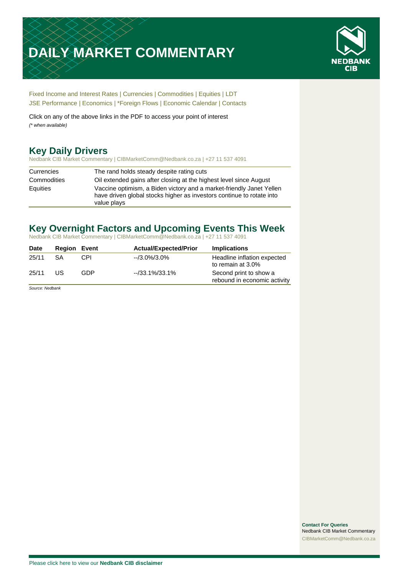# **DAILY MARKET COMMENTARY**



[Fixed Income and Interest Rates](#page-1-0) | [Currencies](#page-2-0) | [Commodities](#page-3-0) [| Equities](#page-4-0) | [LDT](#page-4-1) [JSE Performance](#page-6-0) | [Economics](#page-7-0) | [\\*Foreign Flows](#page-7-0) | [Economic Calendar](#page-8-0) | [Contacts](#page-9-0)

Click on any of the above links in the PDF to access your point of interest *(\* when available)*

## **Key Daily Drivers**

Nedbank CIB Market Commentary | CIBMarketComm@Nedbank.co.za | +27 11 537 4091

| Currencies  | The rand holds steady despite rating cuts                                                                                                                    |
|-------------|--------------------------------------------------------------------------------------------------------------------------------------------------------------|
| Commodities | Oil extended gains after closing at the highest level since August                                                                                           |
| Equities    | Vaccine optimism, a Biden victory and a market-friendly Janet Yellen<br>have driven global stocks higher as investors continue to rotate into<br>value plays |

## **Key Overnight Factors and Upcoming Events This Week**

Nedbank CIB Market Commentary | CIBMarketComm@Nedbank.co.za | +27 11 537 4091

| <b>Date</b> | <b>Region Event</b> |     | <b>Actual/Expected/Prior</b> | <b>Implications</b>                                    |
|-------------|---------------------|-----|------------------------------|--------------------------------------------------------|
| 25/11       | <b>SA</b>           | CPI | $-3.0\%/3.0\%$               | Headline inflation expected<br>to remain at 3.0%       |
| 25/11       | US                  | GDP | $-733.1\%/33.1\%$            | Second print to show a<br>rebound in economic activity |

*Source: Nedbank*

**Contact For Queries** Nedbank CIB Market Commentary [CIBMarketComm@Nedbank.co.za](file:///C:/Users/Paul-Rose/AppData/Roaming/Bluecurve/templates/CIBMarketComm@Nedbank.co.za)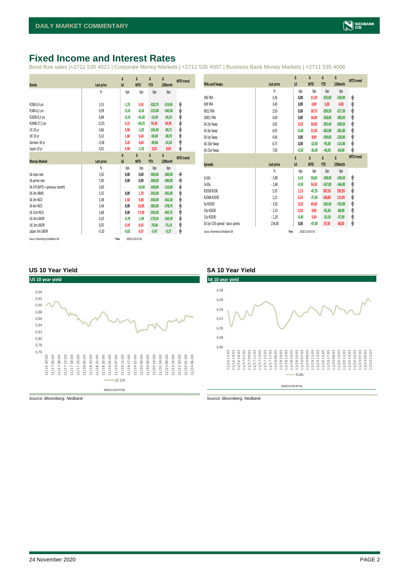## <span id="page-1-0"></span>**Fixed Income and Interest Rates**

Bond flow sales |+2711 535 4021 | Corporate Money Markets | +2711 535 4007 | Business Bank Money Markets | +2711 535 4006

|                               |                   | Δ       | Δ          | Δ          | Δ         | <b>MTD</b> trend |
|-------------------------------|-------------------|---------|------------|------------|-----------|------------------|
| <b>Bonds</b>                  | Last price        | 1d      | <b>MTD</b> | <b>YTD</b> | 12Month   |                  |
|                               | %                 | bps     | bps        | bps        | bps       |                  |
|                               |                   |         |            |            |           |                  |
| R208-0,3 yrs                  | 3,53              | $-1,25$ | 5,95       | $-320,75$  | $-319,05$ | ۸                |
| R186-6,1 yrs                  | 6,99              | $-0,10$ | $-8,10$    | $-125,40$  | $-140,30$ | ψ                |
| R2030-9,2 yrs                 | 8,88              | $-0,10$ | $-41,60$   | $-13,40$   | $-26,10$  | ψ                |
| R2048-27,3 yrs                | 11,01             | 0,15    | $-69,25$   | 93,45      | 84,95     | ψ                |
| US 10 yr                      | 0,86              | 0,90    | $-1,02$    | $-105,49$  | $-90,71$  | ψ                |
| <b>UK 10 yr</b>               | 0,32              | 1,60    | 5,60       | $-50,40$   | $-38,70$  | ۸                |
| German 10 yr                  | $-0,58$           | 0,20    | 4,60       | $-39,60$   | $-22,20$  | ۸                |
| Japan 10 yr                   | 0,02              | 0,90    | $-2,10$    | 3,20       | 9,50      | ψ                |
|                               |                   | Δ       | Δ          | Δ          | Δ         | <b>MTD</b> trend |
| <b>Money Market</b>           | <b>Last price</b> | 1d      | <b>MTD</b> | <b>YTD</b> | 12Month   |                  |
|                               | %                 | bps     | bps        | bps        | bps       |                  |
| SA reporate                   | 3,50              | 0,00    | 0,00       | $-300,00$  | $-300,00$ | ۰                |
| SA prime rate                 | 7,00              | 0,00    | 0,00       | $-300,00$  | $-300,00$ | ۰                |
| SA CPI (MTD = previous month) | 3,00              |         | $-10,00$   | $-100,00$  | $-110,00$ | ψ                |
| SA 3m JIBAR                   | 3,35              | 0,00    | 1,70       | $-345,00$  | $-345,00$ | ۸                |
| SA 3m NCD                     | 3,38              | 2,50    | 5,00       | $-345,00$  | $-342,50$ | ۸                |
| SA 6m NCD                     | 3,48              | 0,00    | 10,00      | $-385,00$  | $-378,75$ | ۸                |
| SA 12m NCD                    | 3,68              | 0,00    | 17,50      | $-395,00$  | $-403,75$ | ۸                |
| US 3m LIBOR                   |                   |         | $-1,09$    | $-170,35$  | $-169,39$ | ψ                |
|                               | 0,20              | $-0,78$ |            |            |           |                  |
| UK 3m LIBOR                   | 0,05              | 0,39    | 0,65       | $-74,06$   | $-75,14$  | ۸                |
| Japan 3m LIBOR                | $-0,10$           | $-0,02$ | 0,07       | $-5,47$    | $-0,27$   | φ                |

|                                  |                | Δ       | Δ          | Δ          | Δ         | <b>MTD</b> trend |
|----------------------------------|----------------|---------|------------|------------|-----------|------------------|
| <b>FRAs and Swaps</b>            | Last price     | 1d      | <b>MTD</b> | <b>YTD</b> | 12Month   |                  |
|                                  | $\frac{9}{20}$ | bps     | bps        | bps        | bps       |                  |
| 3X6 FRA                          | 3,36           | 0,00    | 21,50      | $-325,00$  | $-339,00$ | ۸                |
| 6X9 FRA                          | 3,40           | 0,00    | 4,00       | 3,00       | 4,00      | Φ                |
| 9X12 FRA                         | 3,50           | 0,00    | 30,75      | $-299,50$  | $-317,50$ | φ                |
| 18X21 FRA                        | 4,00           | 0,00    | 36,00      | $-258,00$  | $-280,50$ | φ                |
| SA 2yr Swap                      | 3,65           | 0,10    | 26,60      | $-293,40$  | $-309,20$ | φ                |
| SA 3yr Swap                      | 4,05           | $-0,50$ | 22,50      | $-262,00$  | $-281,00$ | φ                |
| SA 5yr Swap                      | 4,96           | 0,00    | 8,00       | $-199,00$  | $-220,00$ | φ                |
| SA 10yr Swap                     | 6,73           | 0,00    | $-32,00$   | $-95,00$   | $-115,00$ | J                |
| SA 15yr Swap                     | 7,60           | $-0,50$ | $-36,00$   | $-46,50$   | $-64,00$  | J                |
|                                  |                | Δ       | Δ          | Δ          | Δ         | <b>MTD</b> trend |
| <b>Spreads</b>                   | Last price     | 1d      | <b>MTD</b> | <b>YTD</b> | 12Month   |                  |
|                                  | $\frac{9}{20}$ | bps     | bps        | bps        | bps       |                  |
| 2v10y                            | $-3,08$        | 0.10    | 58,60      | $-198,40$  | $-194,20$ | ۸                |
| 3v10y                            | $-2,68$        | $-0,50$ | 54,50      | $-167,00$  | $-166,00$ | φ                |
| R2030-R208                       | 5,35           | 1,15    | $-47,55$   | 307,35     | 292,95    | ♦                |
| R2048-R2030                      | 2,13           | 0,25    | $-27,65$   | 106,85     | 111,05    | ⊎                |
| 5y-R2030                         | $-3,92$        | 0,10    | 49,60      | $-185.60$  | $-193,90$ | φ                |
| 10y-R2030                        | $-2,15$        | 0,10    | 9,60       | $-81,60$   | $-88,90$  | φ                |
| 15y-R2030                        | $-1,29$        | $-0,40$ | 5,60       | $-33,10$   | $-37,90$  | φ                |
|                                  |                |         |            |            |           |                  |
| SA 5yr CDS spread - basis points | 234,00         | 0,00    | $-47,00$   | 67,50      | 48,00     | V                |

#### **US 10 Year Yield SA 10 Year Yield**



*Source: Bloomberg, Nedbank Source: Bloomberg, Nedbank*

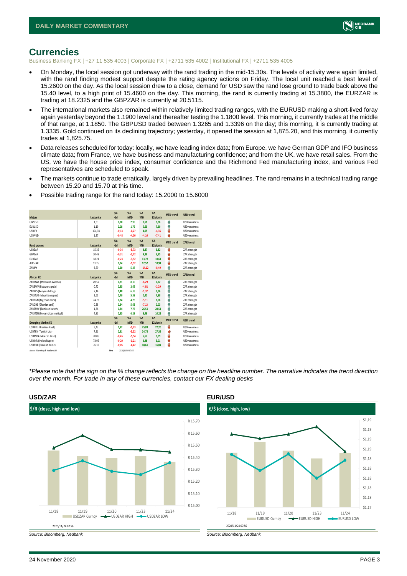

## <span id="page-2-0"></span>**Currencies**

Business Banking FX | +27 11 535 4003 | Corporate FX | +2711 535 4002 | Institutional FX | +2711 535 4005

- On Monday, the local session got underway with the rand trading in the mid-15.30s. The levels of activity were again limited, with the rand finding modest support despite the rating agency actions on Friday. The local unit reached a best level of 15.2600 on the day. As the local session drew to a close, demand for USD saw the rand lose ground to trade back above the 15.40 level, to a high print of 15.4600 on the day. This morning, the rand is currently trading at 15.3800, the EURZAR is trading at 18.2325 and the GBPZAR is currently at 20.5115.
- The international markets also remained within relatively limited trading ranges, with the EURUSD making a short-lived foray again yesterday beyond the 1.1900 level and thereafter testing the 1.1800 level. This morning, it currently trades at the middle of that range, at 1.1850. The GBPUSD traded between 1.3265 and 1.3396 on the day; this morning, it is currently trading at 1.3335. Gold continued on its declining trajectory; yesterday, it opened the session at 1,875.20, and this morning, it currently trades at 1,825.75.
- Data releases scheduled for today: locally, we have leading index data; from Europe, we have German GDP and IFO business climate data; from France, we have business and manufacturing confidence; and from the UK, we have retail sales. From the US, we have the house price index, consumer confidence and the Richmond Fed manufacturing index, and various Fed representatives are scheduled to speak.
- The markets continue to trade erratically, largely driven by prevailing headlines. The rand remains in a technical trading range between 15.20 and 15.70 at this time.

|                                 |            | X <sub>A</sub><br>$-1d$ | X <sub>A</sub><br><b>MTD</b> | $%$ $\Lambda$<br><b>YTD</b> | $% \Delta$<br>12Month | <b>MTD</b> trend | <b>USD trend</b>    |
|---------------------------------|------------|-------------------------|------------------------------|-----------------------------|-----------------------|------------------|---------------------|
| <b>Majors</b>                   | Last price |                         |                              |                             |                       |                  | <b>USD</b> weakness |
| GBPUSD                          | 1.33       | 0,10                    | 2,99                         | 0,58                        | 3.36                  | 4                | <b>USD</b> weakness |
| <b>EURUSD</b>                   | 1.19       | 0.08                    | 1.75                         | 5,69                        | 7.60                  | Φ                |                     |
| <b>USDJPY</b>                   | 104,38     | $-0,13$                 | $-0.27$                      | 4.05                        | $-4,36$               | ψ                | <b>USD</b> weakness |
| <b>USDAUD</b>                   | 1,37       | $-0,48$                 | $-4,00$                      | $-4,16$                     | $-7,41$               | ψ                | USD weakness        |
|                                 |            | $\%$ $\Delta$           | X <sub>A</sub>               | $% \Delta$                  | $% \Delta$            | <b>MTD</b> trend | ZAR trend           |
| <b>Rand crosses</b>             | Last price | $-1d$                   | <b>MTD</b>                   | <b>YTD</b>                  | 12Month               |                  |                     |
| <b>USDZAR</b>                   | 15,36      | $-0,34$                 | $-5,73$                      | 8,87                        | 3,82                  | ψ                | ZAR strength        |
| GBPZAR                          | 20,49      | $-0,31$                 | $-2,72$                      | 9,38                        | 6,95                  | ψ                | ZAR strength        |
| <b>FUR7AR</b>                   | 18,21      | $-0.23$                 | $-3.92$                      | 13,78                       | 10.61                 | ψ                | ZAR strength        |
| AUDZAR                          | 11,25      | 0,14                    | $-1,52$                      | 12,52                       | 10,94                 | ψ                | ZAR strength        |
| ZARJPY                          | 6,79       | 0.20                    | 5,27                         | $-14,12$                    | $-8,49$               | A                | ZAR strength        |
|                                 |            | X <sub>A</sub>          | X <sub>A</sub>               | $% \Delta$                  | $% \Delta$            | <b>MTD</b> trend | ZAR trend           |
| <b>African FX</b>               | Last price | $-1d$                   | <b>MTD</b>                   | <b>YTD</b>                  | 12Month               |                  |                     |
| ZARMWK (Malawian kwacha)        | 49,57      | 0,21                    | 8,10                         | $-6,29$                     | 0,22                  | 4                | ZAR strength        |
| ZARBWP (Botswana pula)          | 0,72       | 0,35                    | 2.69                         | $-4,92$                     | $-2,29$               | Φ                | ZAR strength        |
| ZARKES (Kenvan shilling)        | 7.14       | 0.48                    | 6.15                         | $-1,32$                     | 3.36                  | φ                | ZAR strength        |
| ZARMUR (Mauritian rupee)        | 2.61       | 0.40                    | 5.38                         | 0,40                        | 4,98                  | Φ                | ZAR strength        |
| ZARNGN (Nigerian naira)         | 24,78      | 0,34                    | 4,26                         | $-5,11$                     | 1.06                  | Ŵ                | ZAR strength        |
| ZARGHS (Ghanian cedi)           | 0.38       | 0.34                    | 5.63                         | $-7,13$                     | 0.03                  | Φ                | ZAR strength        |
| ZARZMW (Zambian kwacha)         | 1,36       | 0.34                    | 7.76                         | 26,51                       | 28,51                 | 4                | ZAR strength        |
| ZARMZN (Mozambican metical)     | 4.81       | 0,35                    | 6.29                         | 8,48                        | 10,22                 | ٨                | ZAR strength        |
|                                 |            | X <sub>A</sub>          | X <sub>A</sub>               | $% \Delta$                  | $% \Delta$            |                  |                     |
| <b>Emerging Market FX</b>       | Last price | $-1d$                   | <b>MTD</b>                   | <b>YTD</b>                  | 12Month               | <b>MTD</b> trend | <b>USD trend</b>    |
| <b>USDBRL</b> (Brazilian Real)  | 5.43       | 0.82                    | $-5,73$                      | 25,83                       | 22,20                 | ψ                | <b>USD</b> weakness |
| USDTRY (Turkish Lira)           | 7.91       | 0.31                    | $-5.52$                      | 24,75                       | 27.39                 | U                | USD weakness        |
| <b>USDMXN (Mexican Peso)</b>    | 20,06      | $-0.45$                 | $-5,54$                      | 5,67                        | 3,09                  | ψ                | USD weakness        |
| <b>USDINR</b> (Indian Rupee)    | 73,95      | $-0,20$                 | $-0,21$                      | 3,48                        | 3,01                  | ψ                | <b>USD</b> weakness |
| <b>USDRUB</b> (Russian Ruble)   | 76,16      | $-0,05$                 | $-4,42$                      | 18,61                       | 16,04                 | ψ                | USD weakness        |
| Source: Bloomberg & Nedbank CIB | Time       |                         | 2020/11/24 07:56             |                             |                       |                  |                     |

• Possible trading range for the rand today: 15.2000 to 15.6000

*\*Please note that the sign on the % change reflects the change on the headline number. The narrative indicates the trend direction over the month. For trade in any of these currencies, contact our FX dealing desks*



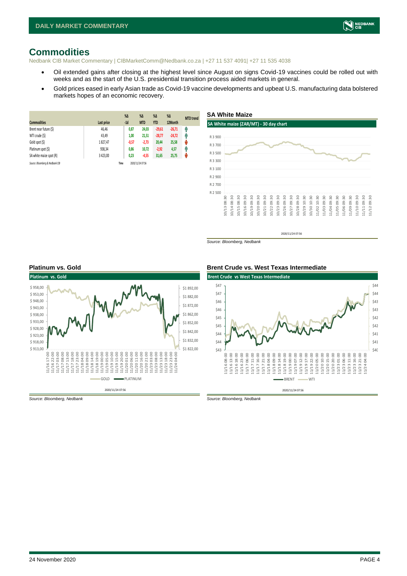## <span id="page-3-0"></span>**Commodities**

Nedbank CIB Market Commentary | CIBMarketComm@Nedbank.co.za | +27 11 537 4091| +27 11 535 4038

- Oil extended gains after closing at the highest level since August on signs Covid-19 vaccines could be rolled out with weeks and as the start of the U.S. presidential transition process aided markets in general.
- Gold prices eased in early Asian trade as Covid-19 vaccine developments and upbeat U.S. manufacturing data bolstered markets hopes of an economic recovery.

| <b>Commodities</b>              | Last price  | $%$ $\Delta$<br>$-1d$ | %Δ<br><b>MTD</b> | $%$ $\Delta$<br><b>YTD</b> | $%$ $\Delta$<br>12Month | <b>MTD</b> trend |
|---------------------------------|-------------|-----------------------|------------------|----------------------------|-------------------------|------------------|
| Brent near future (\$)          | 46,46       | 0,87                  | 24,03            | $-29,61$                   | $-26,71$                | Ŵ                |
| WTI crude (\$)                  | 43,49       | 1,00                  | 21,51            | $-28,77$                   | $-24,72$                | q,               |
| Gold spot (\$)                  | 1827,47     | $-0,57$               | $-2,73$          | 20,44                      | 25,58                   | Ŵ                |
| Platinum spot (\$)              | 938.34      | 0,86                  | 10,72            | $-2,92$                    | 4,57                    | Ĥ                |
| SA white maize spot (R)         | 3 4 2 3 .00 | 0,23                  | $-4,55$          | 31,65                      | 25,75                   | мu               |
| Source: Bloomberg & Nedbank CIB |             | Time                  | 2020/11/24 07:56 |                            |                         |                  |



2020/11/24 07:56

*Source: Bloomberg, Nedbank*





*Source: Bloomberg, Nedbank Source: Bloomberg, Nedbank*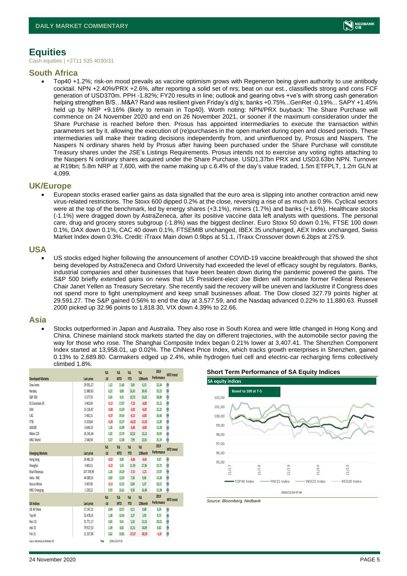

## <span id="page-4-1"></span><span id="page-4-0"></span>**Equities**

Cash equities | +2711 535 4030/31

### **South Africa**

• Top40 +1.2%; risk-on mood prevails as vaccine optimism grows with Regeneron being given authority to use antibody cocktail. NPN +2.40%/PRX +2.6%, after reporting a solid set of nrs; beat on our est., classifieds strong and cons FCF generation of USD370m. PPH -1.82%; FY20 results in line; outlook and gearing obvs +ve's with strong cash generation helping strengthen B/S…M&A? Rand was resilient given Friday's d/g's; banks +0.75%...GenRet -0.19%... SAPY +1.45% held up by NRP +9.16% (likely to remain in Top40). Worth noting: NPN/PRX buyback: The Share Purchase will commence on 24 November 2020 and end on 26 November 2021, or sooner if the maximum consideration under the Share Purchase is reached before then. Prosus has appointed intermediaries to execute the transaction within parameters set by it, allowing the execution of (re)purchases in the open market during open and closed periods. These intermediaries will make their trading decisions independently from, and uninfluenced by, Prosus and Naspers. The Naspers N ordinary shares held by Prosus after having been purchased under the Share Purchase will constitute Treasury shares under the JSE's Listings Requirements. Prosus intends not to exercise any voting rights attaching to the Naspers N ordinary shares acquired under the Share Purchase. USD1.37bn PRX and USD3.63bn NPN. Turnover at R19bn; 5.8m NRP at 7,600, with the name making up c.6.4% of the day's value traded, 1.5m ETFPLT, 1.2m GLN at 4,099.

### **UK/Europe**

• European stocks erased earlier gains as data signalled that the euro area is slipping into another contraction amid new virus-related restrictions. The Stoxx 600 dipped 0.2% at the close, reversing a rise of as much as 0.9%. Cyclical sectors were at the top of the benchmark, led by energy shares (+3.1%), miners (1.7%) and banks (+1.6%). Healthcare stocks (-1.1%) were dragged down by AstraZeneca, after its positive vaccine data left analysts with questions. The personal care, drug and grocery stores subgroup (-1.8%) was the biggest decliner. Euro Stoxx 50 down 0.1%, FTSE 100 down 0.1%, DAX down 0.1%, CAC 40 down 0.1%, FTSEMIB unchanged, IBEX 35 unchanged, AEX Index unchanged, Swiss Market Index down 0.3%. Credit: iTraxx Main down 0.9bps at 51.1, iTraxx Crossover down 6.2bps at 275.9.

### **USA**

• US stocks edged higher following the announcement of another COVID-19 vaccine breakthrough that showed the shot being developed by AstraZeneca and Oxford University had exceeded the level of efficacy sought by regulators. Banks, industrial companies and other businesses that have been beaten down during the pandemic powered the gains. The S&P 500 briefly extended gains on news that US President-elect Joe Biden will nominate former Federal Reserve Chair Janet Yellen as Treasury Secretary. She recently said the recovery will be uneven and lacklustre if Congress does not spend more to fight unemployment and keep small businesses afloat. The Dow closed 327.79 points higher at 29.591.27. The S&P gained 0.56% to end the day at 3,577.59, and the Nasdaq advanced 0.22% to 11,880.63. Russell 2000 picked up 32.96 points to 1,818.30, VIX down 4.39% to 22.66.

### **Asia**

• Stocks outperformed in Japan and Australia. They also rose in South Korea and were little changed in Hong Kong and China. Chinese mainland stock markets started the day on different trajectories, with the automobile sector paving the way for those who rose. The Shanghai Composite Index began 0.21% lower at 3,407.41. The Shenzhen Component Index started at 13,958.01, up 0.02%. The ChiNext Price Index, which tracks growth enterprises in Shenzhen, gained 0.13% to 2,689.80. Carmakers edged up 2.4%, while hydrogen fuel cell and electric-car recharging firms collectively climbed 1.8%.

|                                 |            | $\%$ $\Delta$ | $\%$ $\Delta$    | $\%$ $\Delta$  | %Δ       | 2019        | <b>MTD</b> trend |
|---------------------------------|------------|---------------|------------------|----------------|----------|-------------|------------------|
| <b>Developed Markets</b>        | Last price | $-1d$         | <b>MTD</b>       | <b>YTD</b>     | 12Month  | Performance |                  |
| Dow Jones                       | 29 591,27  | 1,12          | 11,66            | 3,69           | 6,15     | 22,34       | ۸                |
| Nasdao                          | 11 880.63  | 0.22          | 8.88             | 32,41          | 39,45    | 35,23       | ٨                |
| S&P 500                         | 3577,59    | 0,56          | 9,41             | 10,73          | 15,02    | 28,88       | ۸                |
| DJ Eurostoxx 50                 | 3 463,04   | $-0,13$       | 17,07            | $-7.53$        | $-6,08$  | 25,12       | ۸                |
| DAX                             | 13 126,97  | $-0,08$       | 13,59            | $-0.92$        | $-0.28$  | 25,22       | ۸                |
| CAC                             | 5 492,15   | $-0,07$       | 19,54            | $-8,13$        | $-6,80$  | 26,46       | ٨                |
| FTSE                            | 6 3 3 3.84 | $-0.28$       | 13,57            | $-16,02$       | $-13,55$ | 12,00       | ۸                |
| ASX200                          | 6 644,10   | 1,26          | 12,09            | $-0,60$        | $-0.98$  | 13,38       | ۸                |
| Nikkei 225                      | 26 145.44  | 2.42          | 13,79            | 10.52          | 13,12    | 20,93       | ٨                |
| MSCI World                      | 2546,90    | 0,27          | 11,08            | 7,99           | 12,01    | 25,19       | Ą                |
|                                 |            | $\%$ $\Delta$ | %Δ               | $\%$ $\Delta$  | %Δ       | 2019        | <b>MTD</b> trend |
| <b>Emerging Markets</b>         | Last price | $-1d$         | <b>MTD</b>       | <b>YTD</b>     | 12Month  | Performance |                  |
| Hang Seng                       | 26 481,33  | $-0,02$       | 9,85             | $-6,06$        | $-0.43$  | 9,07        | ۸                |
| Shanghai                        | 3 403,51   | $-0,32$       | 5,55             | 11,59          | 17,96    | 23,72       | ۸                |
| Brazil Bovespa                  | 107 378,90 | 1,26          | 14,29            | $-7,15$        | $-1,21$  | 27,07       | ۸                |
| India - NSE                     | 44 380.55  | 0.69          | 12,03            | 7.58           | 9,96     | 14,38       | ٨                |
| Russia Micex                    | 3 047,06   | $-0,13$       | 13,25            | 0.04           | 3,37     | 28,21       | ۸                |
| <b>MSCI Emerging</b>            | 1220,52    | 0,93          | 10,61            | 9,50           | 16,40    | 15,38       | ٨                |
|                                 |            | $\%$ $\Delta$ | $\%$ $\Delta$    | $\frac{9}{40}$ | %Δ       | 2019        | <b>MTD</b> trend |
| <b>SA Indices</b>               | Last price | $-1d$         | <b>MTD</b>       | <b>YTD</b>     | 12Month  | Performance |                  |
| ISE All Share                   | 57 147,31  | 0,94          | 10,57            | 0,11           | 0,68     | 8,24        | ۸                |
| Top 40                          | 52 478,55  | 1,08          | 10,54            | 3,27           | 3,95     | 8,75        | ۸                |
| Resi 10                         | 51 771.17  | 0.65          | 9.41             | 5.10           | 11.53    | 20.01       | φ                |
| Indi 25                         | 79 917,53  | 1,49          | 8,82             | 15,31          | 14,09    | 8,82        | ۸                |
| Fini 15                         | 11 337.90  | 0.62          | 19,85            | $-27,67$       | $-30,39$ | $-4,30$     | ۸                |
| Source: Bloomberg & Nedbonk CIB |            | Time          | 2020/11/24 07:56 |                |          |             |                  |





```
Source: Bloomberg, Nedbank
```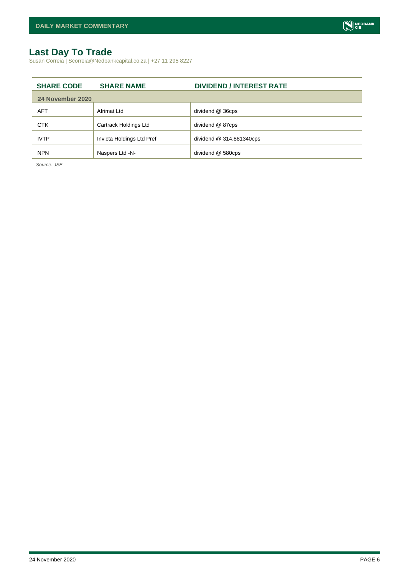## **Last Day To Trade**

Susan Correia | Scorreia@Nedbankcapital.co.za | +27 11 295 8227

| <b>SHARE CODE</b> | <b>SHARE NAME</b>         | <b>DIVIDEND / INTEREST RATE</b> |  |  |  |  |  |  |
|-------------------|---------------------------|---------------------------------|--|--|--|--|--|--|
| 24 November 2020  |                           |                                 |  |  |  |  |  |  |
| <b>AFT</b>        | Afrimat Ltd               | dividend @ 36cps                |  |  |  |  |  |  |
| <b>CTK</b>        | Cartrack Holdings Ltd     | dividend @ 87cps                |  |  |  |  |  |  |
| <b>IVTP</b>       | Invicta Holdings Ltd Pref | dividend @ 314.881340cps        |  |  |  |  |  |  |
| <b>NPN</b>        | Naspers Ltd -N-           | dividend @ 580cps               |  |  |  |  |  |  |

*Source: JSE*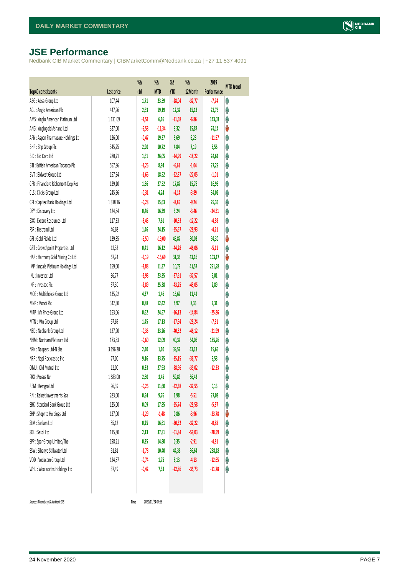## <span id="page-6-0"></span>**JSE Performance**

Nedbank CIB Market Commentary | CIBMarketComm@Nedbank.co.za | +27 11 537 4091

|                                    |            | $\%$ $\Delta$ | %Δ         | %Δ         | %Δ       | 2019        | <b>MTD</b> trend |
|------------------------------------|------------|---------------|------------|------------|----------|-------------|------------------|
| <b>Top40 constituents</b>          | Last price | $-1d$         | <b>MTD</b> | <b>YTD</b> | 12Month  | Performance |                  |
| ABG: Absa Group Ltd                | 107,44     | 1,71          | 23,59      | $-28,04$   | $-32,77$ | $-7,74$     | φ                |
| AGL : Anglo American Plc           | 447,96     | 2,63          | 19,19      | 12,32      | 15,13    | 23,76       | φ                |
| AMS: Anglo American Platinum Ltd   | 1 1 3 1,09 | $-1,51$       | 6,16       | $-11,58$   | $-6,86$  | 143,03      | φ                |
| ANG: Anglogold Ashanti Ltd         | 327,00     | $-5,58$       | $-11,34$   | 3,32       | 15,87    | 74,14       | ψ                |
| APN : Aspen Pharmacare Holdings Lt | 126,00     | $-0,47$       | 19,37      | 5,69       | 6,28     | $-11,57$    | φ                |
| BHP: Bhp Group Plc                 | 345,75     | 2,90          | 10,72      | 4,84       | 7,19     | 8,56        | Λ                |
| BID: Bid Corp Ltd                  | 280,71     | 1,61          | 26,05      | $-14,99$   | $-18,22$ | 24,61       | φ                |
| BTI: British American Tobacco Plc  | 557,86     | $-1,26$       | 8,94       | $-6,61$    | $-1,04$  | 27,29       | φ                |
| BVT: Bidvest Group Ltd             | 157,94     | $-1,66$       | 18,52      | $-22,87$   | $-27,05$ | $-1,01$     | φ                |
| CFR : Financiere Richemont-Dep Rec | 129,10     | 1,86          | 27,52      | 17,87      | 15,76    | 16,96       | φ                |
| CLS : Clicks Group Ltd             | 245,96     | $-0,31$       | 4,24       | $-4,14$    | $-3,89$  | 34,02       | φ                |
| CPI : Capitec Bank Holdings Ltd    | 1318,16    | $-0,28$       | 15,63      | $-8,85$    | $-9,24$  | 29,35       | φ                |
| DSY: Discovery Ltd                 | 124,54     | 0,46          | 16,39      | 3,24       | $-3,46$  | $-24,51$    | φ                |
| EXX : Exxaro Resources Ltd         | 117,33     | $-3,43$       | 7,61       | $-10,53$   | $-12,22$ | $-4,88$     | φ                |
| FSR: Firstrand Ltd                 | 46,68      | 1,46          | 24,15      | $-25,67$   | $-28,93$ | $-4,21$     | φ                |
| GFI: Gold Fields Ltd               | 139,85     | $-5,50$       | $-19,00$   | 45,87      | 80,03    | 94,30       | ψ                |
| GRT : Growthpoint Properties Ltd   | 12,32      | 0,41          | 16,12      | $-44,28$   | $-46,06$ | $-5,11$     | φ                |
| HAR : Harmony Gold Mining Co Ltd   | 67,24      | $-5,19$       | $-15,69$   | 31,33      | 43,16    | 103,17      | ψ                |
| IMP : Impala Platinum Holdings Ltd | 159,00     | $-3,88$       | 11,37      | 10,79      | 41,57    | 291,28      | φ                |
| INL: Investec Ltd                  | 36,77      | $-2,98$       | 23,35      | $-37,61$   | $-37,57$ | 5,01        | φ                |
| INP: Invested Plc                  | 37,30      | $-2,89$       | 25,38      | $-43,25$   | $-43,05$ | 2,89        | φ                |
| MCG: Multichoice Group Ltd         | 135,92     | 4,37          | 1,46       | 16,67      | 11,41    |             | φ                |
| MNP: Mondi Plc                     | 342,50     | 0,88          | 12,42      | 4,97       | 8,35     | 7,31        | φ                |
| MRP : Mr Price Group Ltd           | 153,06     | 0,62          | 24,57      | $-16,13$   | $-14,84$ | $-25,86$    | φ                |
| MTN: Mtn Group Ltd                 | 67,69      | 1,45          | 17,13      | $-17,94$   | $-28,24$ | $-7,31$     | φ                |
| NED : Nedbank Group Ltd            | 127,90     | $-0,35$       | 33,26      | $-40,32$   | $-46,12$ | $-21,99$    | φ                |
| NHM: Northam Platinum Ltd          | 173,53     | $-0,60$       | 12,09      | 40,37      | 64,06    | 185,76      | φ                |
| NPN: Naspers Ltd-N Shs             | 3 196,20   | 2,40          | 1,10       | 39,52      | 43,13    | 19,65       | φ                |
| NRP : Nepi Rockcastle Plc          | 77,00      | 9,16          | 33,75      | $-35,15$   | $-36,77$ | 9,58        | φ                |
| OMU: Old Mutual Ltd                | 12,00      | 0,33          | 27,93      | $-38,96$   | $-39,02$ | $-12,23$    | φ                |
| PRX: Prosus Nv                     | 1683,00    | 2,60          | 3,45       | 59,89      | 66,42    |             | φ                |
| REM : Remgro Ltd                   | 96,39      | $-0,26$       | 11,60      | $-32,38$   | $-32,55$ | 0,13        | f                |
| RNI : Reinet Investments Sca       | 283,00     | 0,54          | 9,76       | 1,98       | $-5,51$  | 27,03       | φ                |
| SBK: Standard Bank Group Ltd       | 125,00     | 0,09          | 17,85      | $-25,74$   | $-28,58$ | $-5,87$     | φ                |
| SHP : Shoprite Holdings Ltd        | 127,00     | $-1,29$       | $-1,48$    | 0,86       | $-3,96$  | $-33,78$    | V                |
| SLM : Sanlam Ltd                   | 55,12      | 0,25          | 16,61      | $-30,32$   | $-32,22$ | $-0,88$     | φ                |
| SOL: Sasol Ltd                     | 115,80     | 2,13          | 37,81      | $-61,84$   | $-59,03$ | $-28,59$    | φ                |
| SPP: Spar Group Limited/The        | 198,21     | 0,35          | 14,80      | 0,35       | $-2,91$  | $-4,81$     | φ                |
| SSW : Sibanye Stillwater Ltd       | 51,81      | $-1,78$       | 10,40      | 44,36      | 86,64    | 258,18      | φ                |
| VOD: Vodacom Group Ltd             | 124,67     | $-0,74$       | 1,75       | 8,13       | $-4,13$  | $-12,65$    | φ                |
| WHL: Woolworths Holdings Ltd       | 37,49      | $-0,42$       | 7,33       | $-22,86$   | $-35,73$ | $-11,78$    | φ                |
|                                    |            |               |            |            |          |             |                  |

 $Source: Bloomberg & Nedbank *CB*$ 

Time 2020/11/24 07:56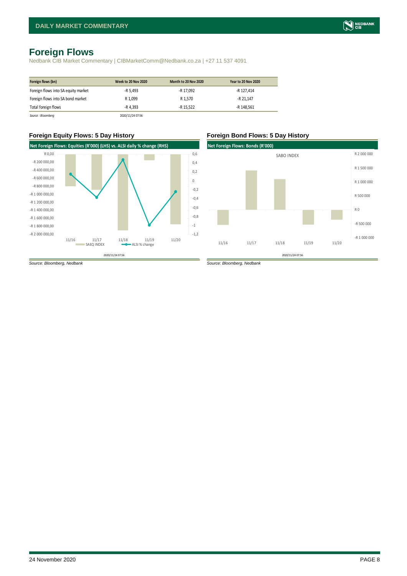## <span id="page-7-0"></span>**Foreign Flows**

Nedbank CIB Market Commentary | CIBMarketComm@Nedbank.co.za | +27 11 537 4091

| Foreign flows (bn)                  | <b>Week to 20 Nov 2020</b> | Month to 20 Nov 2020 | <b>Year to 20 Nov 2020</b> |
|-------------------------------------|----------------------------|----------------------|----------------------------|
| Foreign flows into SA equity market | -R 5.493                   | -R 17,092            | -R 127,414                 |
| Foreign flows into SA bond market   | R 1.099                    | R 1.570              | -R 21.147                  |
| Total foreign flows                 | -R 4.393                   | -R 15.522            | -R 148.561                 |
| Source: Bloomberg                   | 2020/11/24 07:56           |                      |                            |

### **Foreign Equity Flows: 5 Day History Foreign Bond Flows: 5 Day History**





*Source: Bloomberg, Nedbank Source: Bloomberg, Nedbank*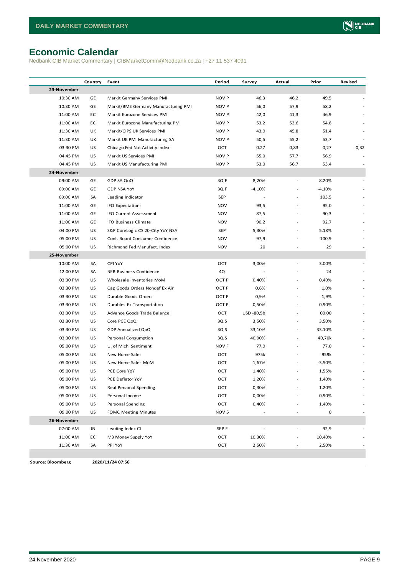## <span id="page-8-0"></span>**Economic Calendar**

Nedbank CIB Market Commentary | CIBMarketComm@Nedbank.co.za | +27 11 537 4091

|                          | Country | Event                                | Period           | Survey         | Actual                   | Prior    | Revised |
|--------------------------|---------|--------------------------------------|------------------|----------------|--------------------------|----------|---------|
| 23-November              |         |                                      |                  |                |                          |          |         |
| 10:30 AM                 | GE      | Markit Germany Services PMI          | <b>NOV P</b>     | 46,3           | 46,2                     | 49,5     |         |
| 10:30 AM                 | GE      | Markit/BME Germany Manufacturing PMI | NOV P            | 56,0           | 57,9                     | 58,2     |         |
| 11:00 AM                 | EC      | Markit Eurozone Services PMI         | NOV P            | 42,0           | 41,3                     | 46,9     |         |
| 11:00 AM                 | EC      | Markit Eurozone Manufacturing PMI    | NOV P            | 53,2           | 53,6                     | 54,8     |         |
| 11:30 AM                 | UK      | Markit/CIPS UK Services PMI          | NOV P            | 43,0           | 45,8                     | 51,4     |         |
| 11:30 AM                 | UK      | Markit UK PMI Manufacturing SA       | NOV P            | 50,5           | 55,2                     | 53,7     |         |
| 03:30 PM                 | US      | Chicago Fed Nat Activity Index       | OCT              | 0,27           | 0,83                     | 0,27     | 0,32    |
| 04:45 PM                 | US      | Markit US Services PMI               | <b>NOV P</b>     | 55,0           | 57,7                     | 56,9     |         |
| 04:45 PM                 | US      | Markit US Manufacturing PMI          | <b>NOV P</b>     | 53,0           | 56,7                     | 53,4     |         |
| 24-November              |         |                                      |                  |                |                          |          |         |
| 09:00 AM                 | GE      | GDP SA QoQ                           | 3QF              | 8,20%          | $\overline{\phantom{a}}$ | 8,20%    |         |
| 09:00 AM                 | GE      | <b>GDP NSA YoY</b>                   | 3QF              | $-4,10%$       | ÷,                       | $-4,10%$ |         |
| 09:00 AM                 | SA      | Leading Indicator                    | SEP              |                |                          | 103,5    |         |
| 11:00 AM                 | GE      | <b>IFO Expectations</b>              | <b>NOV</b>       | 93,5           |                          | 95,0     |         |
| 11:00 AM                 | GE      | IFO Current Assessment               | <b>NOV</b>       | 87,5           |                          | 90,3     |         |
| 11:00 AM                 | GE      | IFO Business Climate                 | <b>NOV</b>       | 90,2           |                          | 92,7     |         |
| 04:00 PM                 | US      | S&P CoreLogic CS 20-City YoY NSA     | SEP              | 5,30%          | $\overline{a}$           | 5,18%    |         |
| 05:00 PM                 | US      | Conf. Board Consumer Confidence      | <b>NOV</b>       | 97,9           |                          | 100,9    |         |
| 05:00 PM                 | US      | Richmond Fed Manufact. Index         | <b>NOV</b>       | 20             | ÷,                       | 29       |         |
| 25-November              |         |                                      |                  |                |                          |          |         |
| 10:00 AM                 | SA      | CPI YoY                              | OCT              | 3,00%          | $\overline{\phantom{a}}$ | 3,00%    |         |
| 12:00 PM                 | SA      | <b>BER Business Confidence</b>       | 4Q               |                |                          | 24       |         |
| 03:30 PM                 | US      | Wholesale Inventories MoM            | OCT P            | 0,40%          | ÷,                       | 0,40%    |         |
| 03:30 PM                 | US      | Cap Goods Orders Nondef Ex Air       | OCT P            | 0,6%           | ÷,                       | 1,0%     |         |
| 03:30 PM                 | US      | Durable Goods Orders                 | OCT P            | 0,9%           | ÷,                       | 1,9%     |         |
| 03:30 PM                 | US      | Durables Ex Transportation           | OCT P            | 0,50%          | $\overline{a}$           | 0,90%    |         |
| 03:30 PM                 | US      | Advance Goods Trade Balance          | OCT              | USD -80,5b     | $\ddot{\phantom{1}}$     | 00:00    |         |
| 03:30 PM                 | US      | Core PCE QoQ                         | 3Q S             | 3,50%          | $\overline{a}$           | 3,50%    |         |
| 03:30 PM                 | US      | GDP Annualized QoQ                   | 3Q S             | 33,10%         | $\overline{\phantom{a}}$ | 33,10%   |         |
| 03:30 PM                 | US      | Personal Consumption                 | 3Q S             | 40,90%         | $\overline{a}$           | 40,70k   |         |
| 05:00 PM                 | US      | U. of Mich. Sentiment                | NOV F            | 77,0           | $\overline{a}$           | 77,0     |         |
| 05:00 PM                 | US      | New Home Sales                       | OCT              | 975k           | ÷                        | 959k     |         |
| 05:00 PM                 | US      | New Home Sales MoM                   | OCT              | 1,67%          | $\ddot{\phantom{1}}$     | $-3,50%$ |         |
| 05:00 PM                 | US      | PCE Core YoY                         | OCT              | 1,40%          |                          | 1,55%    |         |
| 05:00 PM                 | US      | PCE Deflator YoY                     | OCT              | 1,20%          |                          | 1,40%    |         |
| 05:00 PM                 | US      | Real Personal Spending               | OCT              | 0,30%          |                          | 1,20%    |         |
| 05:00 PM                 | US      | Personal Income                      | OCT              | 0,00%          |                          | 0,90%    |         |
| 05:00 PM                 | US      | Personal Spending                    | OCT              | 0,40%          |                          | 1,40%    |         |
| 09:00 PM                 | US      | <b>FOMC Meeting Minutes</b>          | NOV <sub>5</sub> |                |                          | 0        |         |
| 26-November              |         |                                      |                  |                |                          |          |         |
| 07:00 AM                 | JN      | Leading Index CI                     | SEP <sub>F</sub> | $\blacksquare$ | ÷,                       | 92,9     |         |
| 11:00 AM                 | EC      | M3 Money Supply YoY                  | OCT              | 10,30%         |                          | 10,40%   |         |
| 11:30 AM                 | SA      | PPI YoY                              | OCT              | 2,50%          |                          | 2,50%    |         |
|                          |         |                                      |                  |                |                          |          |         |
| <b>Source: Bloomberg</b> |         | 2020/11/24 07:56                     |                  |                |                          |          |         |